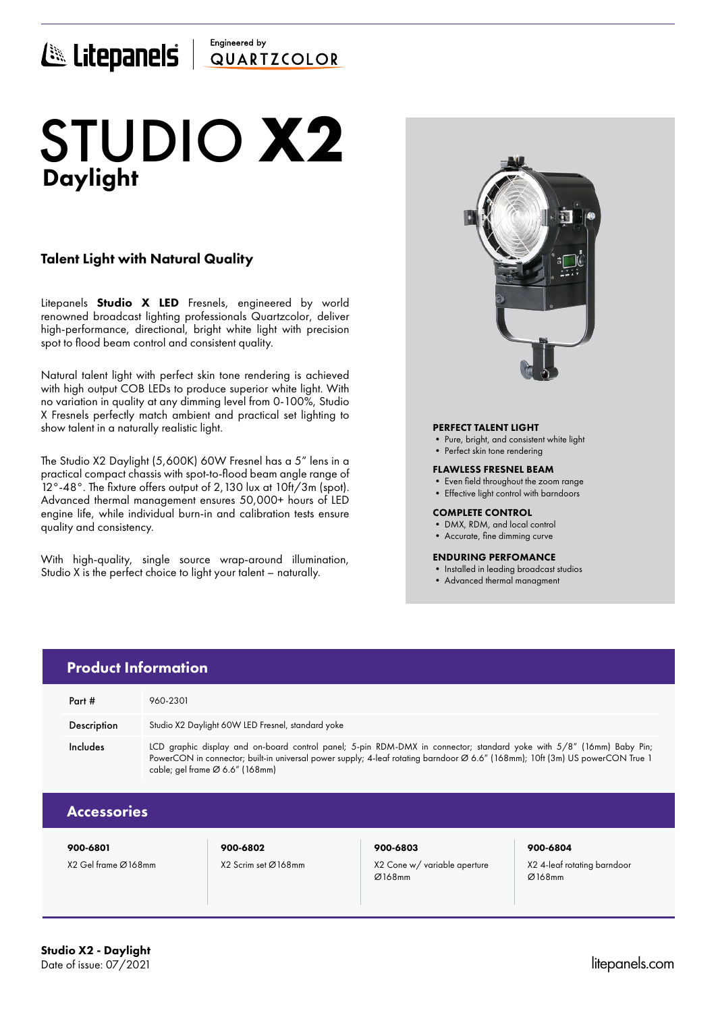## Engineered by E Litepanels QUARTICOLOR

# Daylight STUDIO **X2**

## Talent Light with Natural Quality

Litepanels **Studio X LED** Fresnels, engineered by world renowned broadcast lighting professionals Quartzcolor, deliver high-performance, directional, bright white light with precision spot to flood beam control and consistent quality.

Natural talent light with perfect skin tone rendering is achieved with high output COB LEDs to produce superior white light. With no variation in quality at any dimming level from 0-100%, Studio X Fresnels perfectly match ambient and practical set lighting to show talent in a naturally realistic light.

The Studio X2 Daylight (5,600K) 60W Fresnel has a 5" lens in a practical compact chassis with spot-to-flood beam angle range of 12°-48°. The fixture offers output of 2,130 lux at 10ft/3m (spot). Advanced thermal management ensures 50,000+ hours of LED engine life, while individual burn-in and calibration tests ensure quality and consistency.

With high-quality, single source wrap-around illumination, Studio X is the perfect choice to light your talent – naturally.



## PERFECT TALENT LIGHT

- Pure, bright, and consistent white light
- Perfect skin tone rendering

### FLAWLESS FRESNEL BEAM

- Even field throughout the zoom range
- Effective light control with barndoors

### COMPLETE CONTROL

- DMX, RDM, and local control
- Accurate, fine dimming curve

### ENDURING PERFOMANCE

- Installed in leading broadcast studios
- Advanced thermal managment

|  | <b>Product Information</b> |                                                                                                                                                                                                                                                                                          |  |  |
|--|----------------------------|------------------------------------------------------------------------------------------------------------------------------------------------------------------------------------------------------------------------------------------------------------------------------------------|--|--|
|  | Part #                     | 960-2301                                                                                                                                                                                                                                                                                 |  |  |
|  | Description                | Studio X2 Daylight 60W LED Fresnel, standard yoke                                                                                                                                                                                                                                        |  |  |
|  | Includes                   | LCD graphic display and on-board control panel; 5-pin RDM-DMX in connector; standard yoke with 5/8" (16mm) Baby Pin;<br>PowerCON in connector; built-in universal power supply; 4-leaf rotating barndoor Ø 6.6" (168mm); 10ft (3m) US powerCON True 1<br>cable; gel frame Ø 6.6" (168mm) |  |  |
|  | <b>Accessories</b>         |                                                                                                                                                                                                                                                                                          |  |  |
|  |                            |                                                                                                                                                                                                                                                                                          |  |  |

X2 Gel frame Ø168mm X2 Scrim set Ø168mm X2 Cone w/ variable aperture

## 900-6801 900-6802 900-6803 900-6804

Ø168mm

X2 4-leaf rotating barndoor Ø168mm